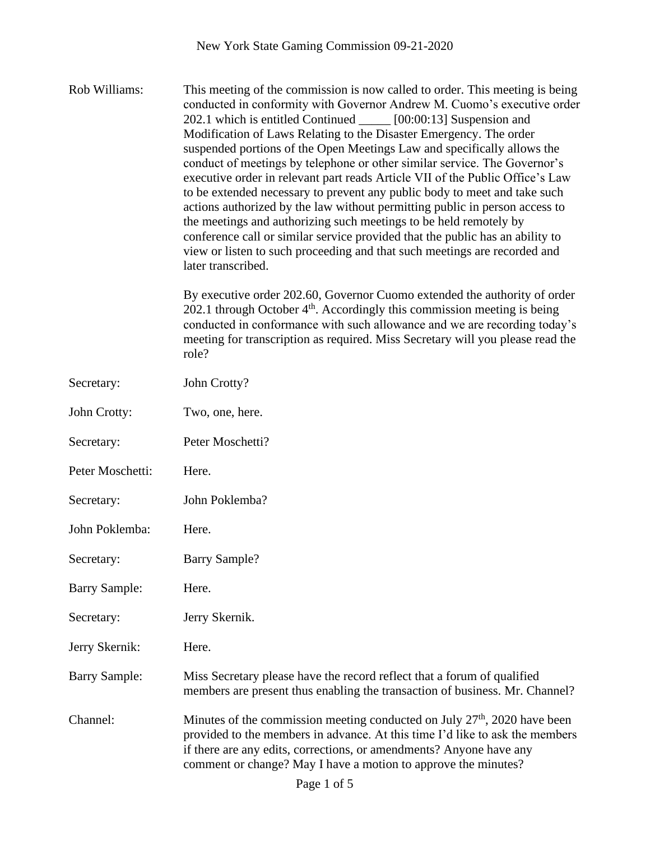Rob Williams: This meeting of the commission is now called to order. This meeting is being conducted in conformity with Governor Andrew M. Cuomo's executive order 202.1 which is entitled Continued [00:00:13] Suspension and Modification of Laws Relating to the Disaster Emergency. The order suspended portions of the Open Meetings Law and specifically allows the conduct of meetings by telephone or other similar service. The Governor's executive order in relevant part reads Article VII of the Public Office's Law to be extended necessary to prevent any public body to meet and take such actions authorized by the law without permitting public in person access to the meetings and authorizing such meetings to be held remotely by conference call or similar service provided that the public has an ability to view or listen to such proceeding and that such meetings are recorded and later transcribed.

> By executive order 202.60, Governor Cuomo extended the authority of order 202.1 through October  $4<sup>th</sup>$ . Accordingly this commission meeting is being conducted in conformance with such allowance and we are recording today's meeting for transcription as required. Miss Secretary will you please read the role?

| Secretary:           | John Crotty?                                                                                                                                                                                                                                                                                         |
|----------------------|------------------------------------------------------------------------------------------------------------------------------------------------------------------------------------------------------------------------------------------------------------------------------------------------------|
| John Crotty:         | Two, one, here.                                                                                                                                                                                                                                                                                      |
| Secretary:           | Peter Moschetti?                                                                                                                                                                                                                                                                                     |
| Peter Moschetti:     | Here.                                                                                                                                                                                                                                                                                                |
| Secretary:           | John Poklemba?                                                                                                                                                                                                                                                                                       |
| John Poklemba:       | Here.                                                                                                                                                                                                                                                                                                |
| Secretary:           | <b>Barry Sample?</b>                                                                                                                                                                                                                                                                                 |
| <b>Barry Sample:</b> | Here.                                                                                                                                                                                                                                                                                                |
| Secretary:           | Jerry Skernik.                                                                                                                                                                                                                                                                                       |
| Jerry Skernik:       | Here.                                                                                                                                                                                                                                                                                                |
| <b>Barry Sample:</b> | Miss Secretary please have the record reflect that a forum of qualified<br>members are present thus enabling the transaction of business. Mr. Channel?                                                                                                                                               |
| Channel:             | Minutes of the commission meeting conducted on July $27th$ , 2020 have been<br>provided to the members in advance. At this time I'd like to ask the members<br>if there are any edits, corrections, or amendments? Anyone have any<br>comment or change? May I have a motion to approve the minutes? |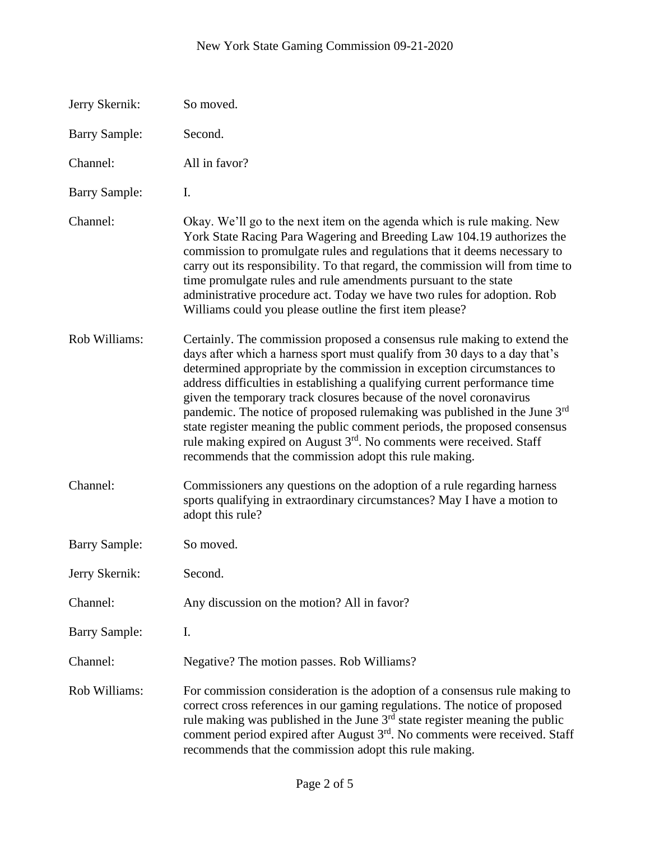| Jerry Skernik:       | So moved.                                                                                                                                                                                                                                                                                                                                                                                                                                                                                                                                                                                                                                                                                                 |
|----------------------|-----------------------------------------------------------------------------------------------------------------------------------------------------------------------------------------------------------------------------------------------------------------------------------------------------------------------------------------------------------------------------------------------------------------------------------------------------------------------------------------------------------------------------------------------------------------------------------------------------------------------------------------------------------------------------------------------------------|
| <b>Barry Sample:</b> | Second.                                                                                                                                                                                                                                                                                                                                                                                                                                                                                                                                                                                                                                                                                                   |
| Channel:             | All in favor?                                                                                                                                                                                                                                                                                                                                                                                                                                                                                                                                                                                                                                                                                             |
| <b>Barry Sample:</b> | I.                                                                                                                                                                                                                                                                                                                                                                                                                                                                                                                                                                                                                                                                                                        |
| Channel:             | Okay. We'll go to the next item on the agenda which is rule making. New<br>York State Racing Para Wagering and Breeding Law 104.19 authorizes the<br>commission to promulgate rules and regulations that it deems necessary to<br>carry out its responsibility. To that regard, the commission will from time to<br>time promulgate rules and rule amendments pursuant to the state<br>administrative procedure act. Today we have two rules for adoption. Rob<br>Williams could you please outline the first item please?                                                                                                                                                                                |
| Rob Williams:        | Certainly. The commission proposed a consensus rule making to extend the<br>days after which a harness sport must qualify from 30 days to a day that's<br>determined appropriate by the commission in exception circumstances to<br>address difficulties in establishing a qualifying current performance time<br>given the temporary track closures because of the novel coronavirus<br>pandemic. The notice of proposed rulemaking was published in the June 3 <sup>rd</sup><br>state register meaning the public comment periods, the proposed consensus<br>rule making expired on August 3 <sup>rd</sup> . No comments were received. Staff<br>recommends that the commission adopt this rule making. |
| Channel:             | Commissioners any questions on the adoption of a rule regarding harness<br>sports qualifying in extraordinary circumstances? May I have a motion to<br>adopt this rule?                                                                                                                                                                                                                                                                                                                                                                                                                                                                                                                                   |
| <b>Barry Sample:</b> | So moved.                                                                                                                                                                                                                                                                                                                                                                                                                                                                                                                                                                                                                                                                                                 |
| Jerry Skernik:       | Second.                                                                                                                                                                                                                                                                                                                                                                                                                                                                                                                                                                                                                                                                                                   |
| Channel:             | Any discussion on the motion? All in favor?                                                                                                                                                                                                                                                                                                                                                                                                                                                                                                                                                                                                                                                               |
| <b>Barry Sample:</b> | I.                                                                                                                                                                                                                                                                                                                                                                                                                                                                                                                                                                                                                                                                                                        |
| Channel:             | Negative? The motion passes. Rob Williams?                                                                                                                                                                                                                                                                                                                                                                                                                                                                                                                                                                                                                                                                |
| Rob Williams:        | For commission consideration is the adoption of a consensus rule making to<br>correct cross references in our gaming regulations. The notice of proposed<br>rule making was published in the June $3rd$ state register meaning the public<br>comment period expired after August $3rd$ . No comments were received. Staff<br>recommends that the commission adopt this rule making.                                                                                                                                                                                                                                                                                                                       |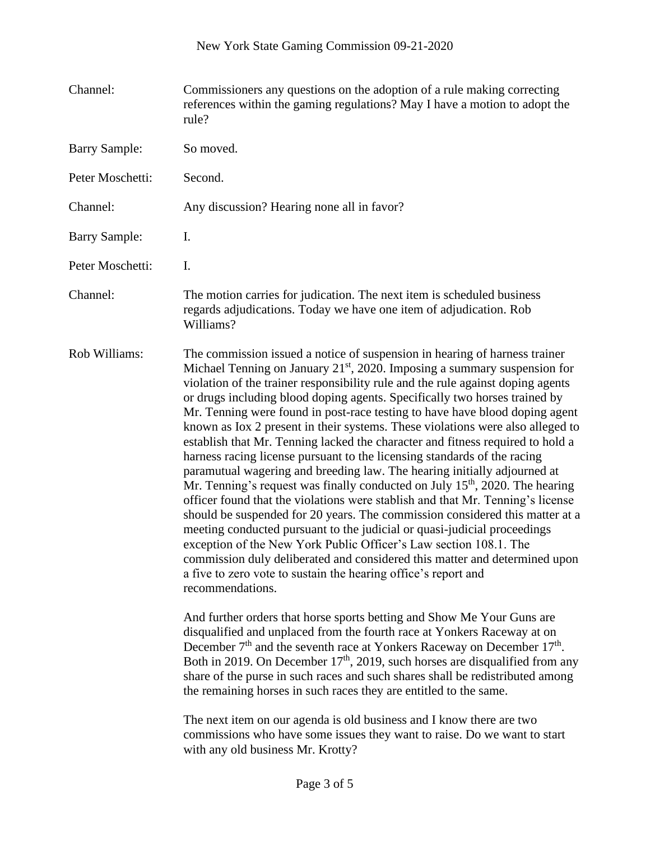| Channel:             | Commissioners any questions on the adoption of a rule making correcting<br>references within the gaming regulations? May I have a motion to adopt the<br>rule?                                                                                                                                                                                                                                                                                                                                                                                                                                                                                                                                                                                                                                                                                                                                                                                                                                                                                                                                                                                                                                                                                                                                                                                                                                                                                                                                                                                                                                                                                                                                                                                                                                                                                                                                                                                                                      |
|----------------------|-------------------------------------------------------------------------------------------------------------------------------------------------------------------------------------------------------------------------------------------------------------------------------------------------------------------------------------------------------------------------------------------------------------------------------------------------------------------------------------------------------------------------------------------------------------------------------------------------------------------------------------------------------------------------------------------------------------------------------------------------------------------------------------------------------------------------------------------------------------------------------------------------------------------------------------------------------------------------------------------------------------------------------------------------------------------------------------------------------------------------------------------------------------------------------------------------------------------------------------------------------------------------------------------------------------------------------------------------------------------------------------------------------------------------------------------------------------------------------------------------------------------------------------------------------------------------------------------------------------------------------------------------------------------------------------------------------------------------------------------------------------------------------------------------------------------------------------------------------------------------------------------------------------------------------------------------------------------------------------|
| <b>Barry Sample:</b> | So moved.                                                                                                                                                                                                                                                                                                                                                                                                                                                                                                                                                                                                                                                                                                                                                                                                                                                                                                                                                                                                                                                                                                                                                                                                                                                                                                                                                                                                                                                                                                                                                                                                                                                                                                                                                                                                                                                                                                                                                                           |
| Peter Moschetti:     | Second.                                                                                                                                                                                                                                                                                                                                                                                                                                                                                                                                                                                                                                                                                                                                                                                                                                                                                                                                                                                                                                                                                                                                                                                                                                                                                                                                                                                                                                                                                                                                                                                                                                                                                                                                                                                                                                                                                                                                                                             |
| Channel:             | Any discussion? Hearing none all in favor?                                                                                                                                                                                                                                                                                                                                                                                                                                                                                                                                                                                                                                                                                                                                                                                                                                                                                                                                                                                                                                                                                                                                                                                                                                                                                                                                                                                                                                                                                                                                                                                                                                                                                                                                                                                                                                                                                                                                          |
| <b>Barry Sample:</b> | I.                                                                                                                                                                                                                                                                                                                                                                                                                                                                                                                                                                                                                                                                                                                                                                                                                                                                                                                                                                                                                                                                                                                                                                                                                                                                                                                                                                                                                                                                                                                                                                                                                                                                                                                                                                                                                                                                                                                                                                                  |
| Peter Moschetti:     | I.                                                                                                                                                                                                                                                                                                                                                                                                                                                                                                                                                                                                                                                                                                                                                                                                                                                                                                                                                                                                                                                                                                                                                                                                                                                                                                                                                                                                                                                                                                                                                                                                                                                                                                                                                                                                                                                                                                                                                                                  |
| Channel:             | The motion carries for judication. The next item is scheduled business<br>regards adjudications. Today we have one item of adjudication. Rob<br>Williams?                                                                                                                                                                                                                                                                                                                                                                                                                                                                                                                                                                                                                                                                                                                                                                                                                                                                                                                                                                                                                                                                                                                                                                                                                                                                                                                                                                                                                                                                                                                                                                                                                                                                                                                                                                                                                           |
| Rob Williams:        | The commission issued a notice of suspension in hearing of harness trainer<br>Michael Tenning on January $21st$ , 2020. Imposing a summary suspension for<br>violation of the trainer responsibility rule and the rule against doping agents<br>or drugs including blood doping agents. Specifically two horses trained by<br>Mr. Tenning were found in post-race testing to have have blood doping agent<br>known as Iox 2 present in their systems. These violations were also alleged to<br>establish that Mr. Tenning lacked the character and fitness required to hold a<br>harness racing license pursuant to the licensing standards of the racing<br>paramutual wagering and breeding law. The hearing initially adjourned at<br>Mr. Tenning's request was finally conducted on July $15th$ , 2020. The hearing<br>officer found that the violations were stablish and that Mr. Tenning's license<br>should be suspended for 20 years. The commission considered this matter at a<br>meeting conducted pursuant to the judicial or quasi-judicial proceedings<br>exception of the New York Public Officer's Law section 108.1. The<br>commission duly deliberated and considered this matter and determined upon<br>a five to zero vote to sustain the hearing office's report and<br>recommendations.<br>And further orders that horse sports betting and Show Me Your Guns are<br>disqualified and unplaced from the fourth race at Yonkers Raceway at on<br>December $7th$ and the seventh race at Yonkers Raceway on December $17th$ .<br>Both in 2019. On December $17th$ , 2019, such horses are disqualified from any<br>share of the purse in such races and such shares shall be redistributed among<br>the remaining horses in such races they are entitled to the same.<br>The next item on our agenda is old business and I know there are two<br>commissions who have some issues they want to raise. Do we want to start<br>with any old business Mr. Krotty? |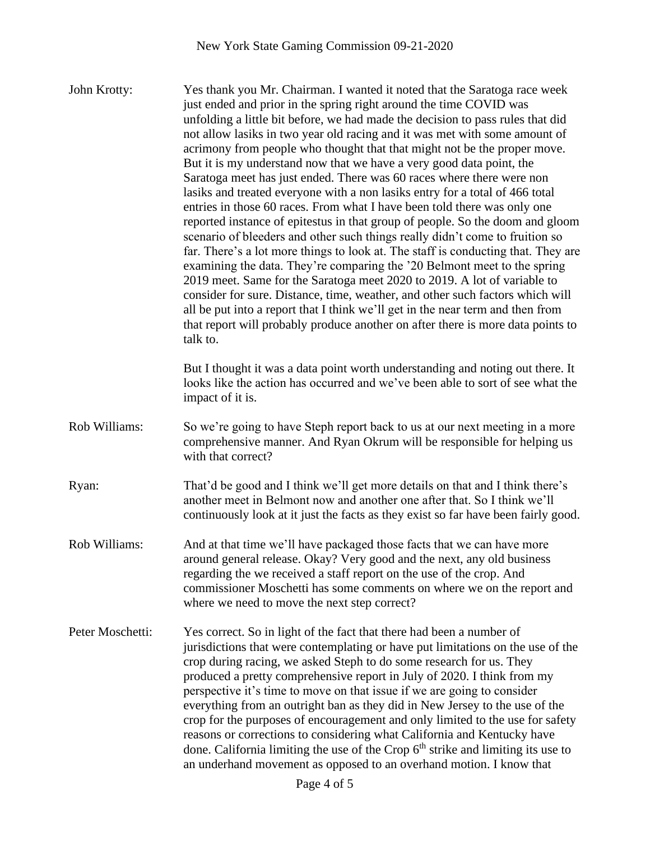John Krotty: Yes thank you Mr. Chairman. I wanted it noted that the Saratoga race week just ended and prior in the spring right around the time COVID was unfolding a little bit before, we had made the decision to pass rules that did not allow lasiks in two year old racing and it was met with some amount of acrimony from people who thought that that might not be the proper move. But it is my understand now that we have a very good data point, the Saratoga meet has just ended. There was 60 races where there were non lasiks and treated everyone with a non lasiks entry for a total of 466 total entries in those 60 races. From what I have been told there was only one reported instance of epitestus in that group of people. So the doom and gloom scenario of bleeders and other such things really didn't come to fruition so far. There's a lot more things to look at. The staff is conducting that. They are examining the data. They're comparing the '20 Belmont meet to the spring 2019 meet. Same for the Saratoga meet 2020 to 2019. A lot of variable to consider for sure. Distance, time, weather, and other such factors which will all be put into a report that I think we'll get in the near term and then from that report will probably produce another on after there is more data points to talk to. But I thought it was a data point worth understanding and noting out there. It looks like the action has occurred and we've been able to sort of see what the impact of it is. Rob Williams: So we're going to have Steph report back to us at our next meeting in a more comprehensive manner. And Ryan Okrum will be responsible for helping us with that correct? Ryan: That'd be good and I think we'll get more details on that and I think there's another meet in Belmont now and another one after that. So I think we'll continuously look at it just the facts as they exist so far have been fairly good. Rob Williams: And at that time we'll have packaged those facts that we can have more around general release. Okay? Very good and the next, any old business regarding the we received a staff report on the use of the crop. And commissioner Moschetti has some comments on where we on the report and where we need to move the next step correct? Peter Moschetti: Yes correct. So in light of the fact that there had been a number of jurisdictions that were contemplating or have put limitations on the use of the crop during racing, we asked Steph to do some research for us. They

produced a pretty comprehensive report in July of 2020. I think from my perspective it's time to move on that issue if we are going to consider everything from an outright ban as they did in New Jersey to the use of the crop for the purposes of encouragement and only limited to the use for safety reasons or corrections to considering what California and Kentucky have done. California limiting the use of the Crop  $6<sup>th</sup>$  strike and limiting its use to an underhand movement as opposed to an overhand motion. I know that